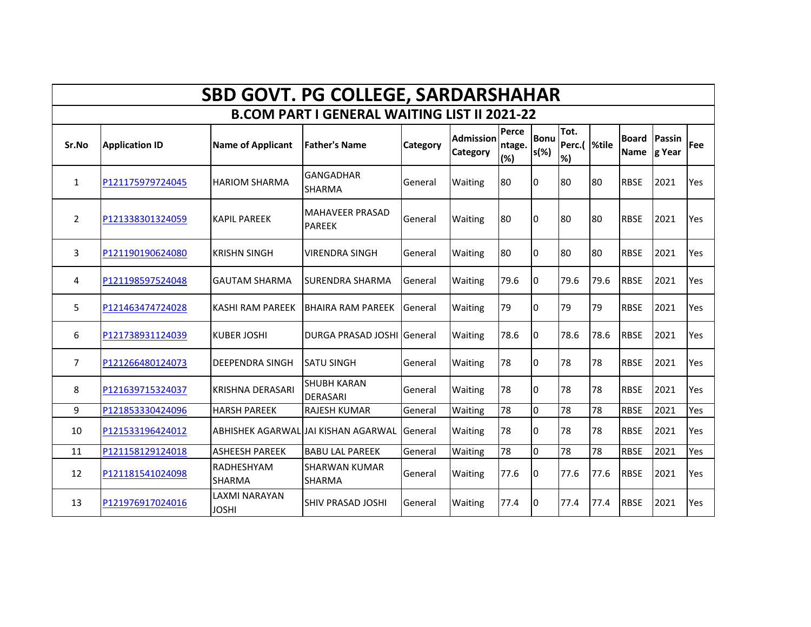| <b>SBD GOVT. PG COLLEGE, SARDARSHAHAR</b>           |                       |                                      |                                         |          |                              |                        |                        |                            |      |                                    |      |            |
|-----------------------------------------------------|-----------------------|--------------------------------------|-----------------------------------------|----------|------------------------------|------------------------|------------------------|----------------------------|------|------------------------------------|------|------------|
| <b>B.COM PART I GENERAL WAITING LIST II 2021-22</b> |                       |                                      |                                         |          |                              |                        |                        |                            |      |                                    |      |            |
| Sr.No                                               | <b>Application ID</b> | <b>Name of Applicant</b>             | <b>Father's Name</b>                    | Category | <b>Admission</b><br>Category | Perce<br>ntage.<br>(%) | <b>Bonu</b><br>$s(\%)$ | Tot.<br>Perc.(  %tile<br>% |      | <b>Board Passin</b><br>Name g Year |      | <b>Fee</b> |
| $\mathbf{1}$                                        | P121175979724045      | <b>HARIOM SHARMA</b>                 | <b>GANGADHAR</b><br><b>SHARMA</b>       | General  | Waiting                      | 80                     | 0                      | 80                         | 80   | <b>RBSE</b>                        | 2021 | Yes        |
| $\overline{2}$                                      | P121338301324059      | <b>KAPIL PAREEK</b>                  | <b>MAHAVEER PRASAD</b><br><b>PAREEK</b> | General  | Waiting                      | 80                     | I0                     | 80                         | 80   | <b>RBSE</b>                        | 2021 | Yes        |
| 3                                                   | P121190190624080      | <b>KRISHN SINGH</b>                  | <b>VIRENDRA SINGH</b>                   | General  | Waiting                      | 80                     | 0                      | 80                         | 80   | <b>RBSE</b>                        | 2021 | Yes        |
| 4                                                   | P121198597524048      | <b>GAUTAM SHARMA</b>                 | <b>SURENDRA SHARMA</b>                  | General  | Waiting                      | 79.6                   | 0                      | 79.6                       | 79.6 | <b>RBSE</b>                        | 2021 | Yes        |
| 5                                                   | P121463474724028      | <b>KASHI RAM PAREEK</b>              | <b>BHAIRA RAM PAREEK</b>                | General  | <b>Waiting</b>               | 79                     | 0                      | 79                         | 79   | <b>RBSE</b>                        | 2021 | Yes        |
| 6                                                   | P121738931124039      | <b>KUBER JOSHI</b>                   | DURGA PRASAD JOSHI General              |          | <b>Waiting</b>               | 78.6                   | 0                      | 78.6                       | 78.6 | <b>RBSE</b>                        | 2021 | Yes        |
| 7                                                   | P121266480124073      | <b>DEEPENDRA SINGH</b>               | <b>SATU SINGH</b>                       | General  | Waiting                      | 78                     | 0                      | 78                         | 78   | <b>RBSE</b>                        | 2021 | Yes        |
| 8                                                   | P121639715324037      | KRISHNA DERASARI                     | <b>SHUBH KARAN</b><br>DERASARI          | General  | Waiting                      | 78                     | 0                      | 78                         | 78   | <b>RBSE</b>                        | 2021 | Yes        |
| 9                                                   | P121853330424096      | <b>HARSH PAREEK</b>                  | <b>RAJESH KUMAR</b>                     | General  | Waiting                      | 78                     | l0                     | 78                         | 78   | <b>RBSE</b>                        | 2021 | Yes        |
| 10                                                  | P121533196424012      |                                      | ABHISHEK AGARWALIJAI KISHAN AGARWAL     | General  | <b>Waiting</b>               | 78                     | 0                      | 78                         | 78   | <b>RBSE</b>                        | 2021 | Yes        |
| 11                                                  | P121158129124018      | <b>ASHEESH PAREEK</b>                | <b>BABU LAL PAREEK</b>                  | General  | Waiting                      | 78                     | 0                      | 78                         | 78   | <b>RBSE</b>                        | 2021 | Yes        |
| 12                                                  | P121181541024098      | RADHESHYAM<br><b>SHARMA</b>          | <b>SHARWAN KUMAR</b><br><b>SHARMA</b>   | General  | Waiting                      | 77.6                   | 0                      | 77.6                       | 77.6 | <b>RBSE</b>                        | 2021 | Yes        |
| 13                                                  | P121976917024016      | <b>LAXMI NARAYAN</b><br><b>JOSHI</b> | <b>SHIV PRASAD JOSHI</b>                | General  | Waiting                      | 77.4                   | 0                      | 77.4                       | 77.4 | <b>RBSE</b>                        | 2021 | Yes        |